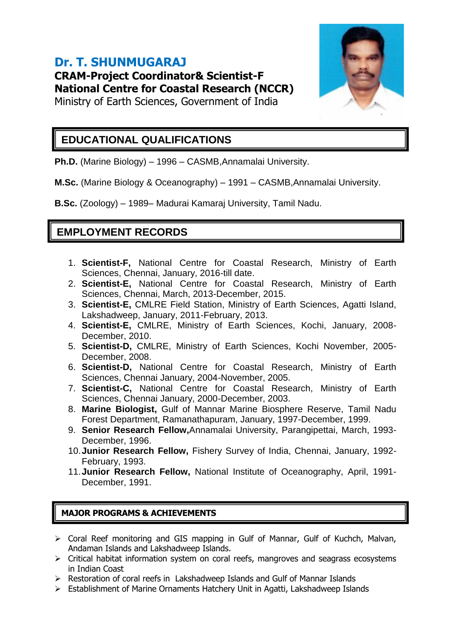# **Dr. T. SHUNMUGARAJ CRAM-Project Coordinator& Scientist-F National Centre for Coastal Research (NCCR)**



Ministry of Earth Sciences, Government of India

### **EDUCATIONAL QUALIFICATIONS**

**Ph.D.** (Marine Biology) – 1996 – CASMB,Annamalai University.

**M.Sc.** (Marine Biology & Oceanography) – 1991 – CASMB,Annamalai University.

**B.Sc.** (Zoology) – 1989– Madurai Kamaraj University, Tamil Nadu.

## **EMPLOYMENT RECORDS**

- 1. **Scientist-F,** National Centre for Coastal Research, Ministry of Earth Sciences, Chennai, January, 2016-till date.
- 2. **Scientist-E,** National Centre for Coastal Research, Ministry of Earth Sciences, Chennai, March, 2013-December, 2015.
- 3. **Scientist-E,** CMLRE Field Station, Ministry of Earth Sciences, Agatti Island, Lakshadweep, January, 2011-February, 2013.
- 4. **Scientist-E,** CMLRE, Ministry of Earth Sciences, Kochi, January, 2008- December, 2010.
- 5. **Scientist-D,** CMLRE, Ministry of Earth Sciences, Kochi November, 2005- December, 2008.
- 6. **Scientist-D,** National Centre for Coastal Research, Ministry of Earth Sciences, Chennai January, 2004-November, 2005.
- 7. **Scientist-C,** National Centre for Coastal Research, Ministry of Earth Sciences, Chennai January, 2000-December, 2003.
- 8. **Marine Biologist,** Gulf of Mannar Marine Biosphere Reserve, Tamil Nadu Forest Department, Ramanathapuram, January, 1997-December, 1999.
- 9. **Senior Research Fellow,**Annamalai University, Parangipettai, March, 1993- December, 1996.
- 10.**Junior Research Fellow,** Fishery Survey of India, Chennai, January, 1992- February, 1993.
- 11.**Junior Research Fellow,** National Institute of Oceanography, April, 1991- December, 1991.

#### **MAJOR PROGRAMS & ACHIEVEMENTS**

- Coral Reef monitoring and GIS mapping in Gulf of Mannar, Gulf of Kuchch, Malvan, Andaman Islands and Lakshadweep Islands.
- $\triangleright$  Critical habitat information system on coral reefs, mangroves and seagrass ecosystems in Indian Coast
- Restoration of coral reefs in Lakshadweep Islands and Gulf of Mannar Islands
- Establishment of Marine Ornaments Hatchery Unit in Agatti, Lakshadweep Islands